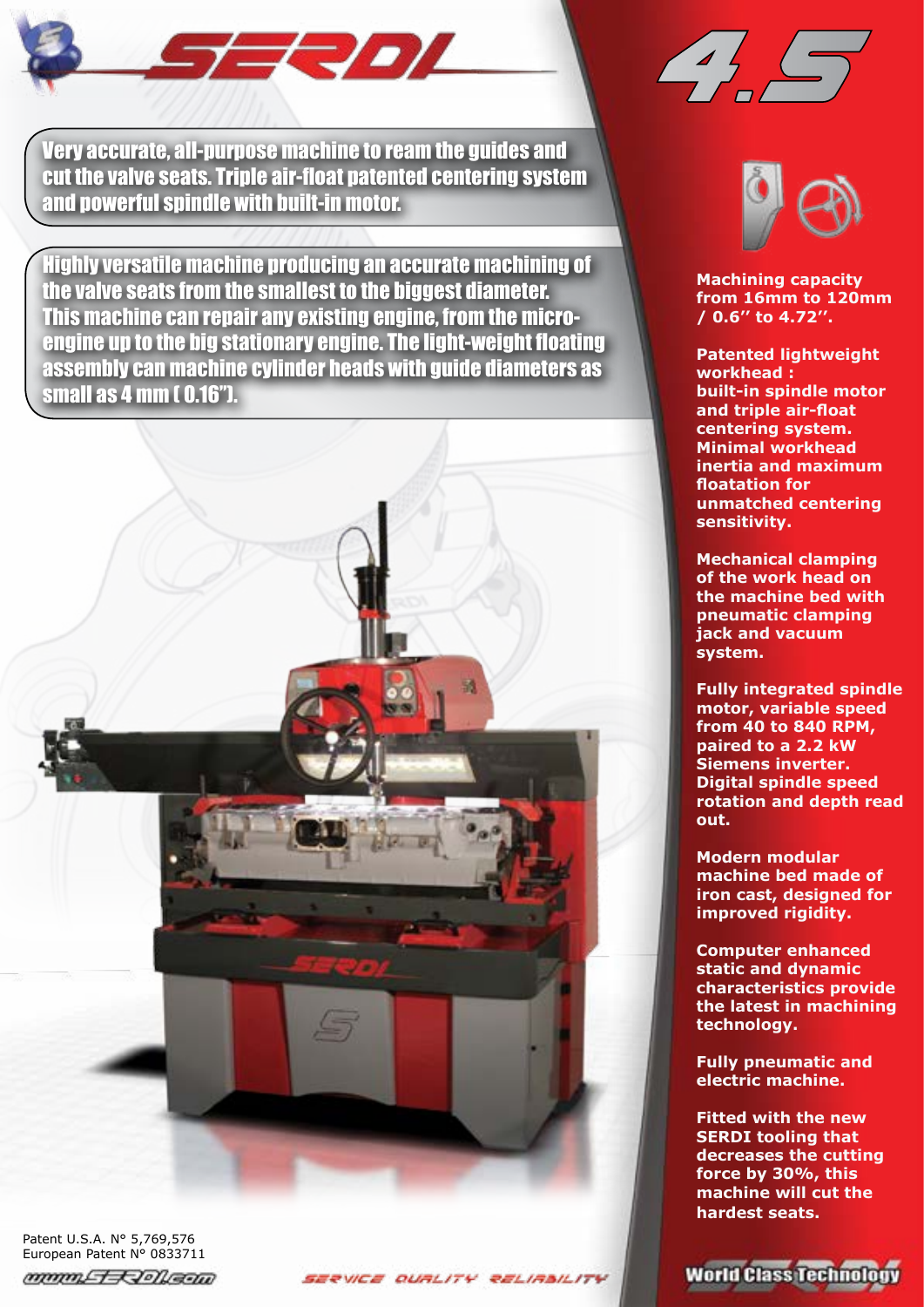

4.5

Very accurate, all-purpose machine to ream the guides and cut the valve seats. Triple air-float patented centering system and powerful spindle with built-in motor.

Highly versatile machine producing an accurate machining of the valve seats from the smallest to the biggest diameter. This machine can repair any existing engine, from the microengine up to the big stationary engine. The light-weight floating assembly can machine cylinder heads with guide diameters as small as 4 mm ( 0.16'').

Patent U.S.A. N° 5,769,576 European Patent Nº 0833711 mmmLT-RIONEED





**Machining capacity from 16mm to 120mm / 0.6'' to 4.72''.**

**Patented lightweight workhead : built-in spindle motor and triple air-float centering system. Minimal workhead inertia and maximum floatation for unmatched centering sensitivity.**

**Mechanical clamping of the work head on the machine bed with pneumatic clamping jack and vacuum system.**

**Fully integrated spindle motor, variable speed from 40 to 840 RPM, paired to a 2.2 kW Siemens inverter. Digital spindle speed rotation and depth read out.**

**Modern modular machine bed made of iron cast, designed for improved rigidity.** 

**Computer enhanced static and dynamic characteristics provide the latest in machining technology.**

**Fully pneumatic and electric machine.**

**Fitted with the new SERDI tooling that decreases the cutting force by 30%, this machine will cut the hardest seats.**

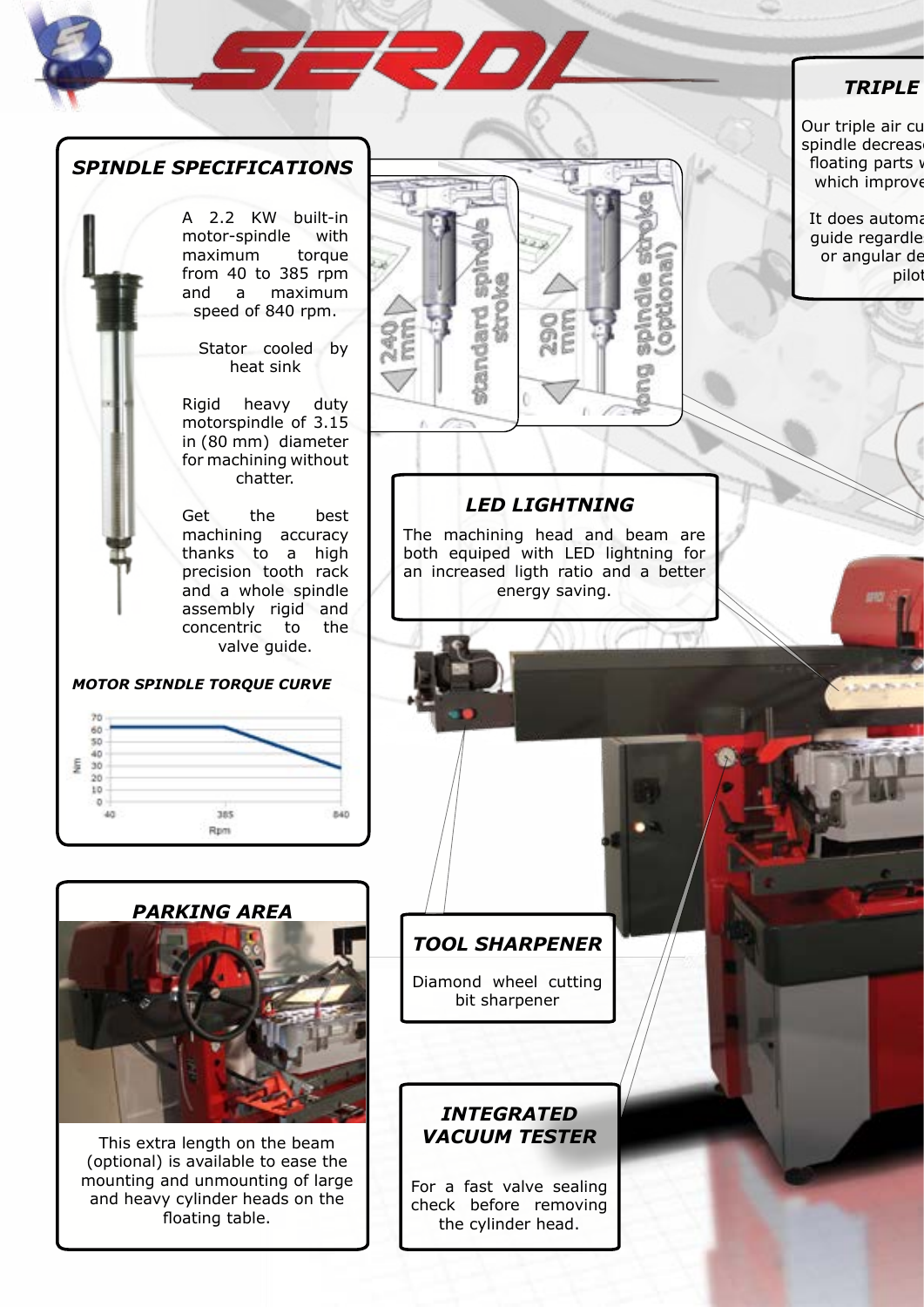# *TRIPLE AIR CUSHION*

Our triple air cu spindle decreas floating parts w which improve

It does automa guide regardle or angular de pilot



A 2.2 KW built-in motor-spindle with maximum torque from 40 to 385 rpm and a maximum speed of 840 rpm.

 Stator cooled by heat sink

Rigid heavy duty motorspindle of 3.15 in (80 mm) diameter for machining without chatter.

Get the best machining accuracy thanks to a high precision tooth rack and a whole spindle assembly rigid and concentric to the valve guide.

#### *MOTOR SPINDLE TORQUE CURVE*





This extra length on the beam (optional) is available to ease the mounting and unmounting of large and heavy cylinder heads on the floating table.

# *LED LIGHTNING*

**EDI** 

The machining head and beam are both equiped with LED lightning for an increased ligth ratio and a better energy saving.

# *TOOL SHARPENER*

Diamond wheel cutting bit sharpener

## *INTEGRATED VACUUM TESTER*

For a fast valve sealing check before removing the cylinder head.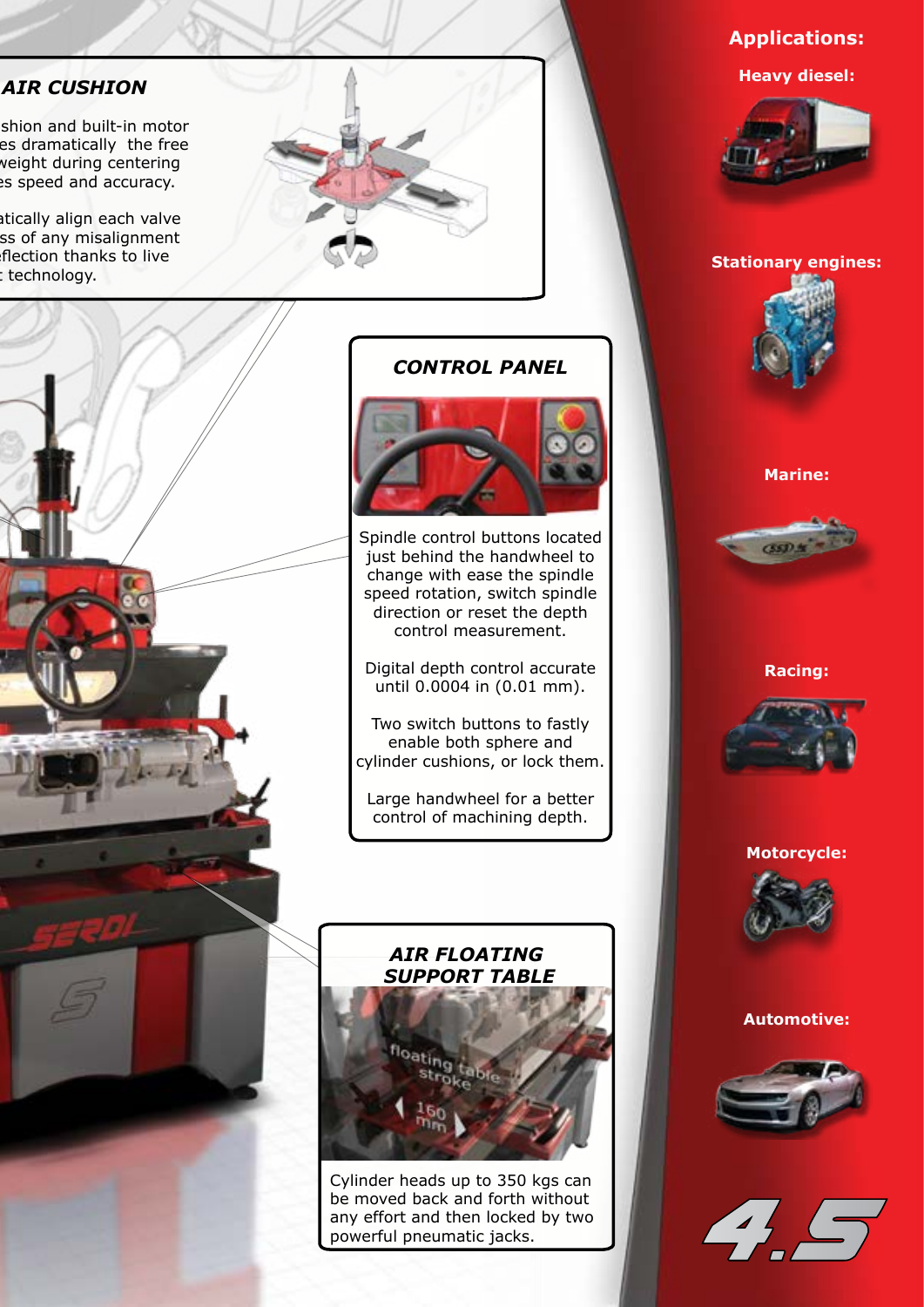# **AIR CUSHION**

shion and built-in motor es dramatically the free veight during centering es speed and accuracy.

Itically align each valve ss of any misalignment flection thanks to live technology.





# **Applications: Heavy diesel:**



#### **Stationary engines:**



#### **Marine:**



#### **Racing:**



#### **Motorcycle:**



#### **Automotive:**





# *CONTROL PANEL*



Spindle control buttons located just behind the handwheel to change with ease the spindle speed rotation, switch spindle direction or reset the depth control measurement.

Digital depth control accurate until 0.0004 in (0.01 mm).

Two switch buttons to fastly enable both sphere and cylinder cushions, or lock them.

Large handwheel for a better control of machining depth.

## *AIR FLOATING SUPPORT TABLE*



Cylinder heads up to 350 kgs can be moved back and forth without any effort and then locked by two powerful pneumatic jacks.